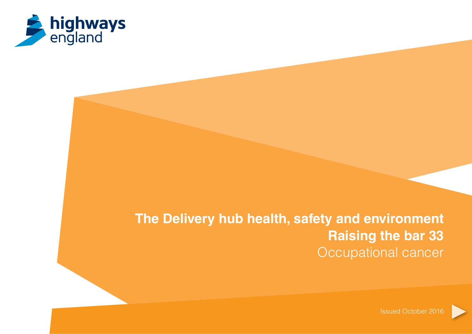

# **The Delivery hub health, safety and environment Raising the bar 33** Occupational cancer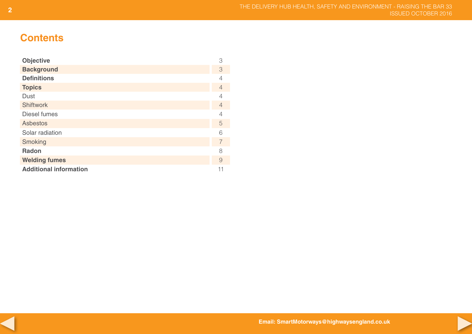# **Contents**

| <b>Objective</b>              | 3 |
|-------------------------------|---|
| <b>Background</b>             | 3 |
| <b>Definitions</b>            | 4 |
| <b>Topics</b>                 | 4 |
| Dust                          | 4 |
| <b>Shiftwork</b>              | 4 |
| Diesel fumes                  | 4 |
| <b>Asbestos</b>               | 5 |
| Solar radiation               | 6 |
| Smoking                       | 7 |
| <b>Radon</b>                  | 8 |
| <b>Welding fumes</b>          | 9 |
| <b>Additional information</b> |   |



**Email: SmartMotorways@highwaysengland.co.uk**

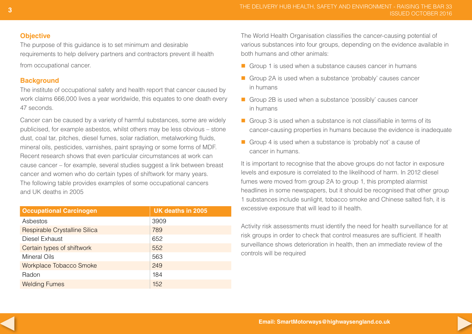# **Objective**

The purpose of this guidance is to set minimum and desirable requirements to help delivery partners and contractors prevent ill health from occupational cancer.

# **Background**

The institute of occupational safety and health report that cancer caused by work claims 666,000 lives a year worldwide, this equates to one death every 47 seconds.

Cancer can be caused by a variety of harmful substances, some are widely publicised, for example asbestos, whilst others may be less obvious – stone dust, coal tar, pitches, diesel fumes, solar radiation, metalworking fluids, mineral oils, pesticides, varnishes, paint spraying or some forms of MDF. Recent research shows that even particular circumstances at work can cause cancer – for example, several studies suggest a link between breast cancer and women who do certain types of shiftwork for many years. The following table provides examples of some occupational cancers and UK deaths in 2005

| <b>Occupational Carcinogen</b> | UK deaths in 2005 |
|--------------------------------|-------------------|
| Asbestos                       | 3909              |
| Respirable Crystalline Silica  | 789               |
| Diesel Exhaust                 | 652               |
| Certain types of shiftwork     | 552               |
| <b>Mineral Oils</b>            | 563               |
| <b>Workplace Tobacco Smoke</b> | 249               |
| Radon                          | 184               |
| <b>Welding Fumes</b>           | 152               |

The World Health Organisation classifies the cancer-causing potential of various substances into four groups, depending on the evidence available in both humans and other animals:

- $\Box$  Group 1 is used when a substance causes cancer in humans
- Group 2A is used when a substance 'probably' causes cancer in humans
- Group 2B is used when a substance 'possibly' causes cancer in humans
- Group 3 is used when a substance is not classifiable in terms of its cancer-causing properties in humans because the evidence is inadequate
- Group 4 is used when a substance is 'probably not' a cause of cancer in humans.

It is important to recognise that the above groups do not factor in exposure levels and exposure is correlated to the likelihood of harm. In 2012 diesel fumes were moved from group 2A to group 1, this prompted alarmist headlines in some newspapers, but it should be recognised that other group 1 substances include sunlight, tobacco smoke and Chinese salted fish, it is excessive exposure that will lead to ill health.

Activity risk assessments must identify the need for health surveillance for at risk groups in order to check that control measures are sufficient. If health surveillance shows deterioration in health, then an immediate review of the controls will be required

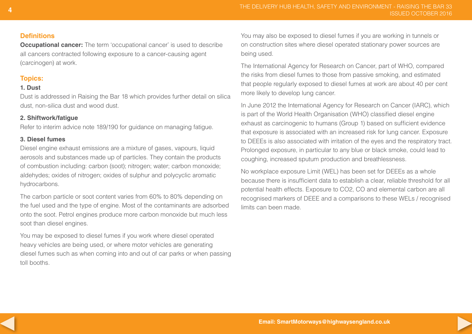# **Definitions**

**Occupational cancer:** The term 'occupational cancer' is used to describe all cancers contracted following exposure to a cancer-causing agent (carcinogen) at work.

# **Topics:**

# **1. Dust**

Dust is addressed in Raising the Bar 18 which provides further detail on silica dust, non-silica dust and wood dust.

# **2. Shiftwork/fatigue**

Refer to interim advice note 189/190 for guidance on managing fatigue.

# **3. Diesel fumes**

Diesel engine exhaust emissions are a mixture of gases, vapours, liquid aerosols and substances made up of particles. They contain the products of combustion including: carbon (soot); nitrogen; water; carbon monoxide; aldehydes; oxides of nitrogen; oxides of sulphur and polycyclic aromatic hydrocarbons.

The carbon particle or soot content varies from 60% to 80% depending on the fuel used and the type of engine. Most of the contaminants are adsorbed onto the soot. Petrol engines produce more carbon monoxide but much less soot than diesel engines.

You may be exposed to diesel fumes if you work where diesel operated heavy vehicles are being used, or where motor vehicles are generating diesel fumes such as when coming into and out of car parks or when passing toll booths.

You may also be exposed to diesel fumes if you are working in tunnels or on construction sites where diesel operated stationary power sources are being used.

The International Agency for Research on Cancer, part of WHO, compared the risks from diesel fumes to those from passive smoking, and estimated that people regularly exposed to diesel fumes at work are about 40 per cent more likely to develop lung cancer.

In June 2012 the International Agency for Research on Cancer (IARC), which is part of the World Health Organisation (WHO) classified diesel engine exhaust as carcinogenic to humans (Group 1) based on sufficient evidence that exposure is associated with an increased risk for lung cancer. Exposure to DEEEs is also associated with irritation of the eyes and the respiratory tract. Prolonged exposure, in particular to any blue or black smoke, could lead to coughing, increased sputum production and breathlessness.

No workplace exposure Limit (WEL) has been set for DEEEs as a whole because there is insufficient data to establish a clear, reliable threshold for all potential health effects. Exposure to CO2, CO and elemental carbon are all recognised markers of DEEE and a comparisons to these WELs / recognised limits can been made.

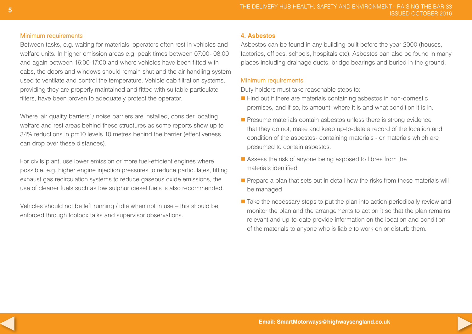#### Minimum requirements

Between tasks, e.g. waiting for materials, operators often rest in vehicles and welfare units. In higher emission areas e.g. peak times between 07:00- 08:00 and again between 16:00-17:00 and where vehicles have been fitted with cabs, the doors and windows should remain shut and the air handling system used to ventilate and control the temperature. Vehicle cab filtration systems, providing they are properly maintained and fitted with suitable particulate filters, have been proven to adequately protect the operator.

Where 'air quality barriers' / noise barriers are installed, consider locating welfare and rest areas behind these structures as some reports show up to 34% reductions in pm10 levels 10 metres behind the barrier (effectiveness can drop over these distances).

For civils plant, use lower emission or more fuel-efficient engines where possible, e.g. higher engine injection pressures to reduce particulates, fitting exhaust gas recirculation systems to reduce gaseous oxide emissions, the use of cleaner fuels such as low sulphur diesel fuels is also recommended.

Vehicles should not be left running / idle when not in use – this should be enforced through toolbox talks and supervisor observations.

#### **4. Asbestos**

Asbestos can be found in any building built before the year 2000 (houses, factories, offices, schools, hospitals etc). Asbestos can also be found in many places including drainage ducts, bridge bearings and buried in the ground.

#### Minimum requirements

Duty holders must take reasonable steps to:

- $\blacksquare$  Find out if there are materials containing asbestos in non-domestic premises, and if so, its amount, where it is and what condition it is in.
- $\blacksquare$  Presume materials contain asbestos unless there is strong evidence that they do not, make and keep up-to-date a record of the location and condition of the asbestos- containing materials - or materials which are presumed to contain asbestos.
- $\blacksquare$  Assess the risk of anyone being exposed to fibres from the materials identified
- $\blacksquare$  Prepare a plan that sets out in detail how the risks from these materials will be managed
- Take the necessary steps to put the plan into action periodically review and monitor the plan and the arrangements to act on it so that the plan remains relevant and up-to-date provide information on the location and condition of the materials to anyone who is liable to work on or disturb them.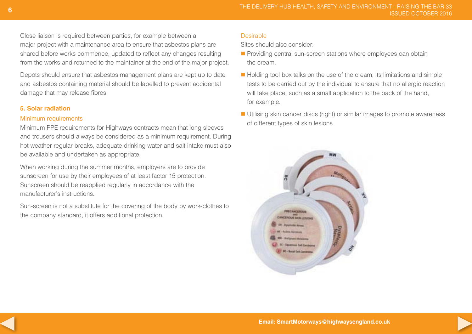Close liaison is required between parties, for example between a major project with a maintenance area to ensure that asbestos plans are shared before works commence, updated to reflect any changes resulting from the works and returned to the maintainer at the end of the major project.

Depots should ensure that asbestos management plans are kept up to date and asbestos containing material should be labelled to prevent accidental damage that may release fibres.

#### **5. Solar radiation**

#### Minimum requirements

Minimum PPE requirements for Highways contracts mean that long sleeves and trousers should always be considered as a minimum requirement. During hot weather regular breaks, adequate drinking water and salt intake must also be available and undertaken as appropriate.

When working during the summer months, employers are to provide sunscreen for use by their employees of at least factor 15 protection. Sunscreen should be reapplied regularly in accordance with the manufacturer's instructions.

Sun-screen is not a substitute for the covering of the body by work-clothes to the company standard, it offers additional protection.

#### **Desirable**

Sites should also consider:

- **n** Providing central sun-screen stations where employees can obtain the cream.
- $\blacksquare$  Holding tool box talks on the use of the cream, its limitations and simple tests to be carried out by the individual to ensure that no allergic reaction will take place, such as a small application to the back of the hand, for example.
- Utilising skin cancer discs (right) or similar images to promote awareness of different types of skin lesions.



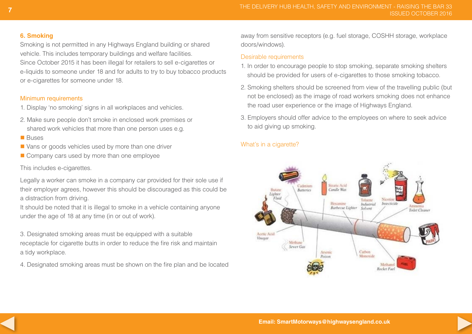#### **6. Smoking**

Smoking is not permitted in any Highways England building or shared vehicle. This includes temporary buildings and welfare facilities. Since October 2015 it has been illegal for retailers to sell e-cigarettes or e-liquids to someone under 18 and for adults to try to buy tobacco products or e-cigarettes for someone under 18.

#### Minimum requirements

- 1. Display 'no smoking' signs in all workplaces and vehicles.
- 2. Make sure people don't smoke in enclosed work premises or shared work vehicles that more than one person uses e.g.
- **n** Buses
- $\blacksquare$  Vans or goods vehicles used by more than one driver
- $\blacksquare$  Company cars used by more than one employee

# This includes e-cigarettes.

Legally a worker can smoke in a company car provided for their sole use if their employer agrees, however this should be discouraged as this could be a distraction from driving.

It should be noted that it is illegal to smoke in a vehicle containing anyone under the age of 18 at any time (in or out of work).

3. Designated smoking areas must be equipped with a suitable receptacle for cigarette butts in order to reduce the fire risk and maintain a tidy workplace.

4. Designated smoking areas must be shown on the fire plan and be located

away from sensitive receptors (e.g. fuel storage, COSHH storage, workplace doors/windows).

#### Desirable requirements

- 1. In order to encourage people to stop smoking, separate smoking shelters should be provided for users of e-cigarettes to those smoking tobacco.
- 2. Smoking shelters should be screened from view of the travelling public (but not be enclosed) as the image of road workers smoking does not enhance the road user experience or the image of Highways England.
- 3. Employers should offer advice to the employees on where to seek advice to aid giving up smoking.

# What's in a cigarette?



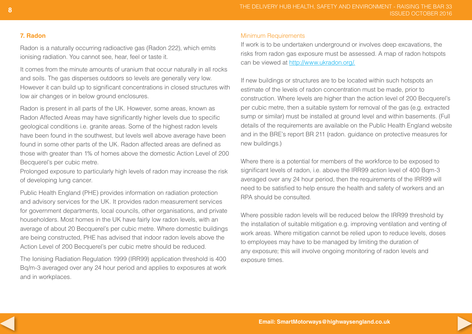#### **7. Radon**

Radon is a naturally occurring radioactive gas (Radon 222), which emits ionising radiation. You cannot see, hear, feel or taste it.

It comes from the minute amounts of uranium that occur naturally in all rocks and soils. The gas disperses outdoors so levels are generally very low. However it can build up to significant concentrations in closed structures with low air changes or in below ground enclosures.

Radon is present in all parts of the UK. However, some areas, known as Radon Affected Areas may have significantly higher levels due to specific geological conditions i.e. granite areas. Some of the highest radon levels have been found in the southwest, but levels well above average have been found in some other parts of the UK. Radon affected areas are defined as those with greater than 1% of homes above the domestic Action Level of 200 Becquerel's per cubic metre.

Prolonged exposure to particularly high levels of radon may increase the risk of developing lung cancer.

Public Health England (PHE) provides information on radiation protection and advisory services for the UK. It provides radon measurement services for government departments, local councils, other organisations, and private householders. Most homes in the UK have fairly low radon levels, with an average of about 20 Becquerel's per cubic metre. Where domestic buildings are being constructed, PHE has advised that indoor radon levels above the Action Level of 200 Becquerel's per cubic metre should be reduced.

The Ionising Radiation Regulation 1999 (IRR99) application threshold is 400 Bq/m-3 averaged over any 24 hour period and applies to exposures at work and in workplaces.

#### Minimum Requirements

If work is to be undertaken underground or involves deep excavations, the risks from radon gas exposure must be assessed. A map of radon hotspots can be viewed at http://www.ukradon.org/.

If new buildings or structures are to be located within such hotspots an estimate of the levels of radon concentration must be made, prior to construction. Where levels are higher than the action level of 200 Becquerel's per cubic metre, then a suitable system for removal of the gas (e.g. extracted sump or similar) must be installed at ground level and within basements. (Full details of the requirements are available on the Public Health England website and in the BRE's report BR 211 (radon. guidance on protective measures for new buildings.)

Where there is a potential for members of the workforce to be exposed to significant levels of radon, i.e. above the IRR99 action level of 400 Bqm-3 averaged over any 24 hour period, then the requirements of the IRR99 will need to be satisfied to help ensure the health and safety of workers and an RPA should be consulted.

Where possible radon levels will be reduced below the IRR99 threshold by the installation of suitable mitigation e.g. improving ventilation and venting of work areas. Where mitigation cannot be relied upon to reduce levels, doses to employees may have to be managed by limiting the duration of any exposure; this will involve ongoing monitoring of radon levels and exposure times.

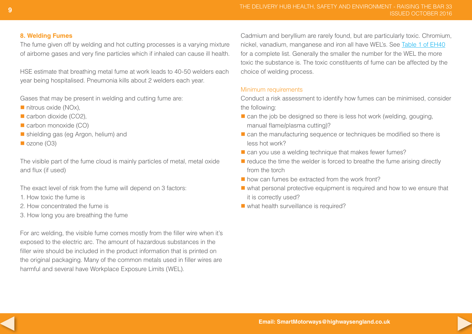#### **8. Welding Fumes**

The fume given off by welding and hot cutting processes is a varying mixture of airborne gases and very fine particles which if inhaled can cause ill health.

HSE estimate that breathing metal fume at work leads to 40-50 welders each year being hospitalised. Pneumonia kills about 2 welders each year.

Gases that may be present in welding and cutting fume are:

- $\blacksquare$  nitrous oxide (NOx),
- $\blacksquare$  carbon dioxide (CO2),
- $\blacksquare$  carbon monoxide (CO)
- shielding gas (eg Argon, helium) and
- $\blacksquare$  ozone (O3)

The visible part of the fume cloud is mainly particles of metal, metal oxide and flux (if used)

The exact level of risk from the fume will depend on 3 factors:

- 1. How toxic the fume is
- 2. How concentrated the fume is
- 3. How long you are breathing the fume

For arc welding, the visible fume comes mostly from the filler wire when it's exposed to the electric arc. The amount of hazardous substances in the filler wire should be included in the product information that is printed on the original packaging. Many of the common metals used in filler wires are harmful and several have Workplace Exposure Limits (WEL).

Cadmium and beryllium are rarely found, but are particularly toxic. Chromium, nickel, vanadium, manganese and iron all have WEL's. See [Table 1 of EH40](http://www.hse.gov.uk/pubns/books/eh40.htm) for a complete list. Generally the smaller the number for the WEL the more toxic the substance is. The toxic constituents of fume can be affected by the choice of welding process.

#### Minimum requirements

Conduct a risk assessment to identify how fumes can be minimised, consider the following:

- $\blacksquare$  can the job be designed so there is less hot work (welding, gouging, manual flame/plasma cutting)?
- $\blacksquare$  can the manufacturing sequence or techniques be modified so there is less hot work?
- $\blacksquare$  can you use a welding technique that makes fewer fumes?
- $\blacksquare$  reduce the time the welder is forced to breathe the fume arising directly from the torch
- n how can fumes be extracted from the work front?
- $\blacksquare$  what personal protective equipment is required and how to we ensure that it is correctly used?
- $\blacksquare$  what health surveillance is required?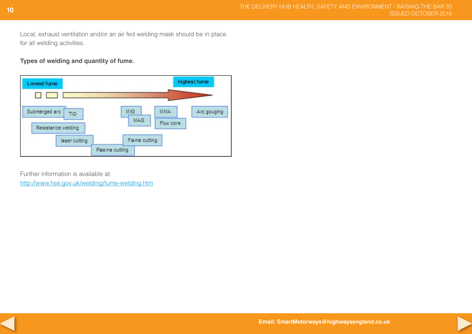Local, exhaust ventilation and/or an air fed welding mask should be in place for all welding activities.

**Types of welding and quantity of fume.**



Further information is available at:

<http://www.hse.gov.uk/welding/fume-welding.htm>



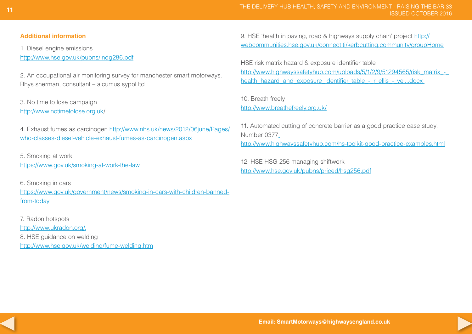#### **Additional information**

1. Diesel engine emissions

<http://www.hse.gov.uk/pubns/indg286.pdf>

2. An occupational air monitoring survey for manchester smart motorways. Rhys sherman, consultant – alcumus sypol ltd

3. No time to lose campaign <http://www.notimetolose.org.uk/>

4. Exhaust fumes as carcinogen [http://www.nhs.uk/news/2012/06june/Pages/](http://www.nhs.uk/news/2012/06june/Pages/who-classes-diesel-vehicle-exhaust-fumes-as-carcinogen.aspx) [who-classes-diesel-vehicle-exhaust-fumes-as-carcinogen.aspx](http://www.nhs.uk/news/2012/06june/Pages/who-classes-diesel-vehicle-exhaust-fumes-as-carcinogen.aspx)

5. Smoking at work [https://www.gov.uk/smoking-](https://www.gov.uk/smoking)at-work-the-law

6. Smoking in cars

[https://www.gov.uk/government/news/smoking-in-cars-with-children-banned](https://www.gov.uk/government/news/smoking-in-cars-with-children-banned-from-today)from-today

7. Radon hotspots [http://www.ukradon.org/](http://www.ukradon.org). 8. HSE guidance on welding <http://www.hse.gov.uk/welding/fume-welding.htm> 9. HSE 'health in paving, road & highways supply chain' project [http://](http://webcommunities.hse.gov.uk/connect.ti/kerbcutting.community/groupHome) [webcommunities.hse.gov.uk/connect.ti/kerbcutting.community/groupHome](http://webcommunities.hse.gov.uk/connect.ti/kerbcutting.community/groupHome)

HSE risk matrix hazard & exposure identifier table [http://www.highwayssafetyhub.com/uploads/5/1/2/9/51294565/risk\\_matrix\\_](http://www.highwayssafetyhub.com/uploads/5/1/2/9/51294565/risk_matrix_)health\_hazard\_and\_exposure\_identifier\_table\_-\_r\_ellis\_-\_ve....docx

10. Breath freely [http://www.breathefreely.org.uk/](http://www.breathefreely.org.uk)

11. Automated cutting of concrete barrier as a good practice case study. Number 0377 <http://www.highwayssafetyhub.com/hs-toolkit-good-practice-examples.html>

12. HSE HSG 256 managing shiftwork <http://www.hse.gov.uk/pubns/priced/hsg256.pdf>